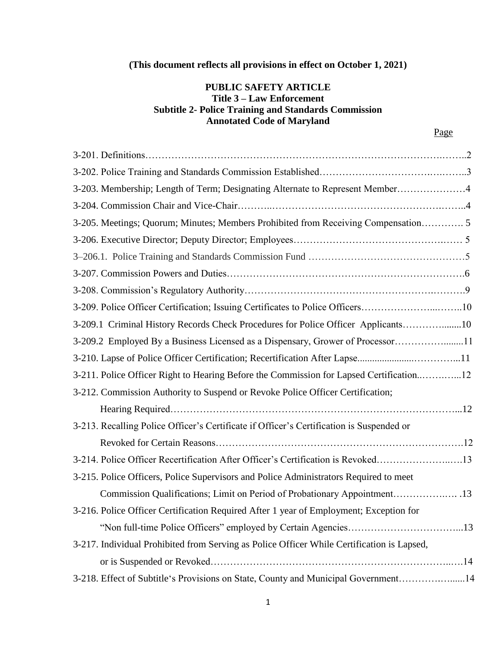# **(This document reflects all provisions in effect on October 1, 2021)**

## **PUBLIC SAFETY ARTICLE Title 3 – Law Enforcement Subtitle 2- Police Training and Standards Commission Annotated Code of Maryland**

| 3-203. Membership; Length of Term; Designating Alternate to Represent Member4              |
|--------------------------------------------------------------------------------------------|
|                                                                                            |
| 3-205. Meetings; Quorum; Minutes; Members Prohibited from Receiving Compensation 5         |
|                                                                                            |
|                                                                                            |
|                                                                                            |
|                                                                                            |
| 3-209. Police Officer Certification; Issuing Certificates to Police Officers10             |
| 3-209.1 Criminal History Records Check Procedures for Police Officer Applicants10          |
| 3-209.2 Employed By a Business Licensed as a Dispensary, Grower of Processor11             |
|                                                                                            |
| 3-211. Police Officer Right to Hearing Before the Commission for Lapsed Certification12    |
| 3-212. Commission Authority to Suspend or Revoke Police Officer Certification;             |
|                                                                                            |
| 3-213. Recalling Police Officer's Certificate if Officer's Certification is Suspended or   |
|                                                                                            |
| 3-214. Police Officer Recertification After Officer's Certification is Revoked13           |
| 3-215. Police Officers, Police Supervisors and Police Administrators Required to meet      |
| Commission Qualifications; Limit on Period of Probationary Appointment 13                  |
| 3-216. Police Officer Certification Required After 1 year of Employment; Exception for     |
|                                                                                            |
| 3-217. Individual Prohibited from Serving as Police Officer While Certification is Lapsed, |
|                                                                                            |
| 3-218. Effect of Subtitle's Provisions on State, County and Municipal Government14         |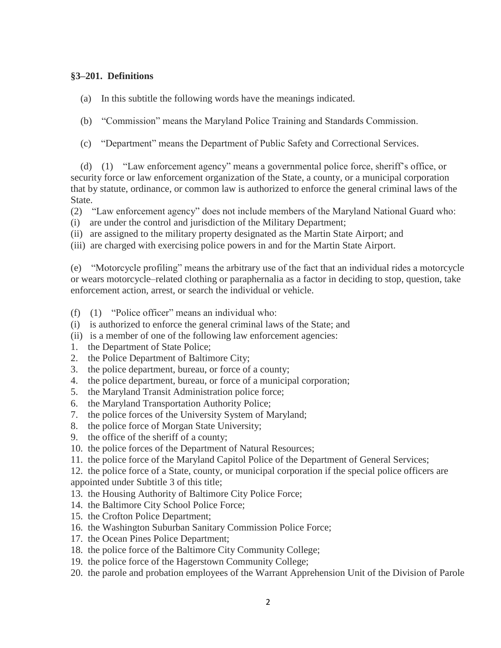#### **§3–201. Definitions**

- (a) In this subtitle the following words have the meanings indicated.
- (b) "Commission" means the Maryland Police Training and Standards Commission.
- (c) "Department" means the Department of Public Safety and Correctional Services.

 (d) (1) "Law enforcement agency" means a governmental police force, sheriff's office, or security force or law enforcement organization of the State, a county, or a municipal corporation that by statute, ordinance, or common law is authorized to enforce the general criminal laws of the State.

(2) "Law enforcement agency" does not include members of the Maryland National Guard who:

- (i) are under the control and jurisdiction of the Military Department;
- (ii) are assigned to the military property designated as the Martin State Airport; and

(iii) are charged with exercising police powers in and for the Martin State Airport.

(e) "Motorcycle profiling" means the arbitrary use of the fact that an individual rides a motorcycle or wears motorcycle–related clothing or paraphernalia as a factor in deciding to stop, question, take enforcement action, arrest, or search the individual or vehicle.

- (f) (1) "Police officer" means an individual who:
- (i) is authorized to enforce the general criminal laws of the State; and
- (ii) is a member of one of the following law enforcement agencies:
- 1. the Department of State Police;
- 2. the Police Department of Baltimore City;
- 3. the police department, bureau, or force of a county;
- 4. the police department, bureau, or force of a municipal corporation;
- 5. the Maryland Transit Administration police force;
- 6. the Maryland Transportation Authority Police;
- 7. the police forces of the University System of Maryland;
- 8. the police force of Morgan State University;
- 9. the office of the sheriff of a county;
- 10. the police forces of the Department of Natural Resources;
- 11. the police force of the Maryland Capitol Police of the Department of General Services;

12. the police force of a State, county, or municipal corporation if the special police officers are appointed under Subtitle 3 of this title;

- 13. the Housing Authority of Baltimore City Police Force;
- 14. the Baltimore City School Police Force;
- 15. the Crofton Police Department;
- 16. the Washington Suburban Sanitary Commission Police Force;
- 17. the Ocean Pines Police Department;
- 18. the police force of the Baltimore City Community College;
- 19. the police force of the Hagerstown Community College;
- 20. the parole and probation employees of the Warrant Apprehension Unit of the Division of Parole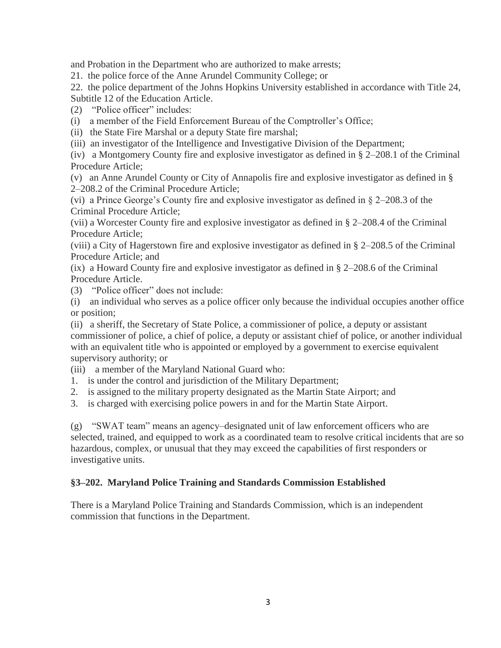and Probation in the Department who are authorized to make arrests;

21. the police force of the Anne Arundel Community College; or

22. the police department of the Johns Hopkins University established in accordance with Title 24, Subtitle 12 of the Education Article.

(2) "Police officer" includes:

- (i) a member of the Field Enforcement Bureau of the Comptroller's Office;
- (ii) the State Fire Marshal or a deputy State fire marshal;

(iii) an investigator of the Intelligence and Investigative Division of the Department;

(iv) a Montgomery County fire and explosive investigator as defined in § 2–208.1 of the Criminal Procedure Article;

(v) an Anne Arundel County or City of Annapolis fire and explosive investigator as defined in § 2–208.2 of the Criminal Procedure Article;

(vi) a Prince George's County fire and explosive investigator as defined in § 2–208.3 of the Criminal Procedure Article;

(vii) a Worcester County fire and explosive investigator as defined in § 2–208.4 of the Criminal Procedure Article;

(viii) a City of Hagerstown fire and explosive investigator as defined in § 2–208.5 of the Criminal Procedure Article; and

(ix) a Howard County fire and explosive investigator as defined in § 2–208.6 of the Criminal Procedure Article.

(3) "Police officer" does not include:

(i) an individual who serves as a police officer only because the individual occupies another office or position;

(ii) a sheriff, the Secretary of State Police, a commissioner of police, a deputy or assistant commissioner of police, a chief of police, a deputy or assistant chief of police, or another individual with an equivalent title who is appointed or employed by a government to exercise equivalent supervisory authority; or

- (iii) a member of the Maryland National Guard who:
- 1. is under the control and jurisdiction of the Military Department;
- 2. is assigned to the military property designated as the Martin State Airport; and
- 3. is charged with exercising police powers in and for the Martin State Airport.

(g) "SWAT team" means an agency–designated unit of law enforcement officers who are selected, trained, and equipped to work as a coordinated team to resolve critical incidents that are so hazardous, complex, or unusual that they may exceed the capabilities of first responders or investigative units.

#### **§3–202. Maryland Police Training and Standards Commission Established**

There is a Maryland Police Training and Standards Commission, which is an independent commission that functions in the Department.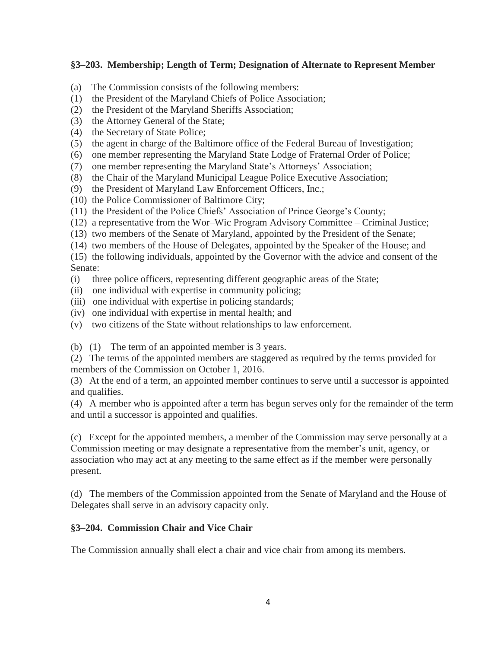### **§3–203. Membership; Length of Term; Designation of Alternate to Represent Member**

- (a) The Commission consists of the following members:
- (1) the President of the Maryland Chiefs of Police Association;
- (2) the President of the Maryland Sheriffs Association;
- (3) the Attorney General of the State;
- (4) the Secretary of State Police;
- (5) the agent in charge of the Baltimore office of the Federal Bureau of Investigation;
- (6) one member representing the Maryland State Lodge of Fraternal Order of Police;
- (7) one member representing the Maryland State's Attorneys' Association;
- (8) the Chair of the Maryland Municipal League Police Executive Association;
- (9) the President of Maryland Law Enforcement Officers, Inc.;
- (10) the Police Commissioner of Baltimore City;
- (11) the President of the Police Chiefs' Association of Prince George's County;
- (12) a representative from the Wor–Wic Program Advisory Committee Criminal Justice;
- (13) two members of the Senate of Maryland, appointed by the President of the Senate;
- (14) two members of the House of Delegates, appointed by the Speaker of the House; and

(15) the following individuals, appointed by the Governor with the advice and consent of the Senate:

- (i) three police officers, representing different geographic areas of the State;
- (ii) one individual with expertise in community policing;
- (iii) one individual with expertise in policing standards;
- (iv) one individual with expertise in mental health; and
- (v) two citizens of the State without relationships to law enforcement.
- (b) (1) The term of an appointed member is 3 years.
- (2) The terms of the appointed members are staggered as required by the terms provided for members of the Commission on October 1, 2016.

(3) At the end of a term, an appointed member continues to serve until a successor is appointed and qualifies.

(4) A member who is appointed after a term has begun serves only for the remainder of the term and until a successor is appointed and qualifies.

(c) Except for the appointed members, a member of the Commission may serve personally at a Commission meeting or may designate a representative from the member's unit, agency, or association who may act at any meeting to the same effect as if the member were personally present.

(d) The members of the Commission appointed from the Senate of Maryland and the House of Delegates shall serve in an advisory capacity only.

### **§3–204. Commission Chair and Vice Chair**

The Commission annually shall elect a chair and vice chair from among its members.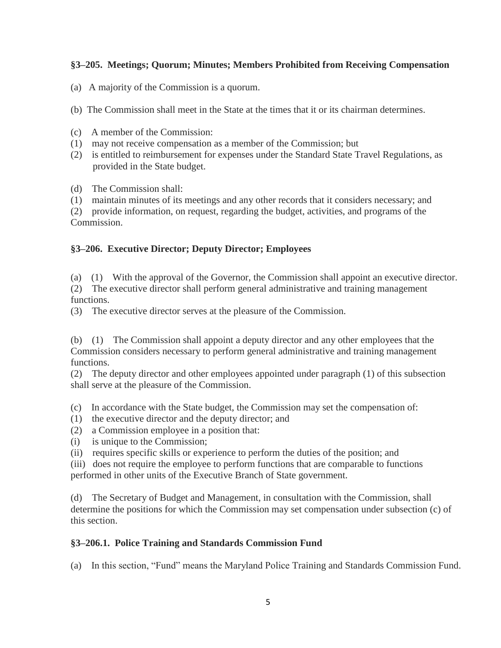### **§3–205. Meetings; Quorum; Minutes; Members Prohibited from Receiving Compensation**

(a) A majority of the Commission is a quorum.

(b) The Commission shall meet in the State at the times that it or its chairman determines.

- (c) A member of the Commission:
- (1) may not receive compensation as a member of the Commission; but
- (2) is entitled to reimbursement for expenses under the Standard State Travel Regulations, as provided in the State budget.

(d) The Commission shall:

(1) maintain minutes of its meetings and any other records that it considers necessary; and

(2) provide information, on request, regarding the budget, activities, and programs of the Commission.

### **§3–206. Executive Director; Deputy Director; Employees**

(a) (1) With the approval of the Governor, the Commission shall appoint an executive director.

(2) The executive director shall perform general administrative and training management functions.

(3) The executive director serves at the pleasure of the Commission.

(b) (1) The Commission shall appoint a deputy director and any other employees that the Commission considers necessary to perform general administrative and training management functions.

(2) The deputy director and other employees appointed under paragraph (1) of this subsection shall serve at the pleasure of the Commission.

(c) In accordance with the State budget, the Commission may set the compensation of:

- (1) the executive director and the deputy director; and
- (2) a Commission employee in a position that:
- (i) is unique to the Commission;

(ii) requires specific skills or experience to perform the duties of the position; and

(iii) does not require the employee to perform functions that are comparable to functions performed in other units of the Executive Branch of State government.

(d) The Secretary of Budget and Management, in consultation with the Commission, shall determine the positions for which the Commission may set compensation under subsection (c) of this section.

### **§3–206.1. Police Training and Standards Commission Fund**

(a) In this section, "Fund" means the Maryland Police Training and Standards Commission Fund.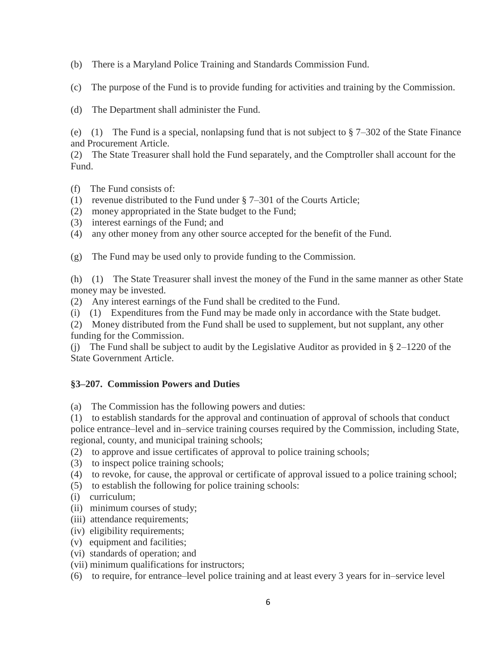(b) There is a Maryland Police Training and Standards Commission Fund.

(c) The purpose of the Fund is to provide funding for activities and training by the Commission.

(d) The Department shall administer the Fund.

(e) (1) The Fund is a special, nonlapsing fund that is not subject to  $\S 7-302$  of the State Finance and Procurement Article.

(2) The State Treasurer shall hold the Fund separately, and the Comptroller shall account for the Fund.

- (f) The Fund consists of:
- (1) revenue distributed to the Fund under § 7–301 of the Courts Article;
- (2) money appropriated in the State budget to the Fund;
- (3) interest earnings of the Fund; and
- (4) any other money from any other source accepted for the benefit of the Fund.

(g) The Fund may be used only to provide funding to the Commission.

(h) (1) The State Treasurer shall invest the money of the Fund in the same manner as other State money may be invested.

(2) Any interest earnings of the Fund shall be credited to the Fund.

(i) (1) Expenditures from the Fund may be made only in accordance with the State budget.

(2) Money distributed from the Fund shall be used to supplement, but not supplant, any other funding for the Commission.

(j) The Fund shall be subject to audit by the Legislative Auditor as provided in § 2–1220 of the State Government Article.

# **§3–207. Commission Powers and Duties**

(a) The Commission has the following powers and duties:

(1) to establish standards for the approval and continuation of approval of schools that conduct

police entrance–level and in–service training courses required by the Commission, including State, regional, county, and municipal training schools;

- (2) to approve and issue certificates of approval to police training schools;
- (3) to inspect police training schools;
- (4) to revoke, for cause, the approval or certificate of approval issued to a police training school;
- (5) to establish the following for police training schools:
- (i) curriculum;
- (ii) minimum courses of study;
- (iii) attendance requirements;
- (iv) eligibility requirements;
- (v) equipment and facilities;
- (vi) standards of operation; and
- (vii) minimum qualifications for instructors;
- (6) to require, for entrance–level police training and at least every 3 years for in–service level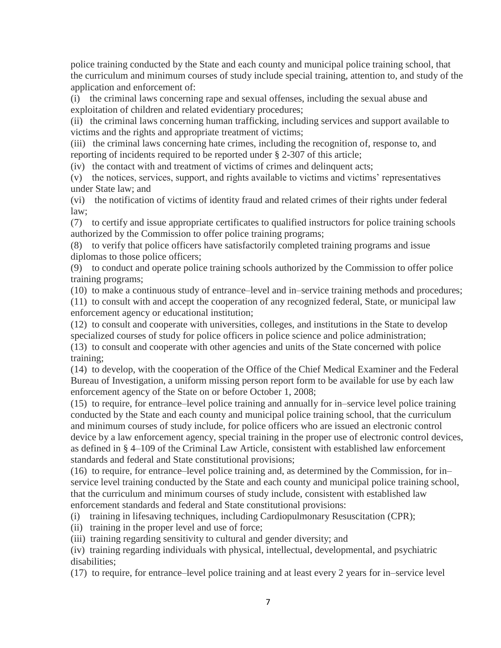police training conducted by the State and each county and municipal police training school, that the curriculum and minimum courses of study include special training, attention to, and study of the application and enforcement of:

(i) the criminal laws concerning rape and sexual offenses, including the sexual abuse and exploitation of children and related evidentiary procedures;

(ii) the criminal laws concerning human trafficking, including services and support available to victims and the rights and appropriate treatment of victims;

(iii) the criminal laws concerning hate crimes, including the recognition of, response to, and reporting of incidents required to be reported under § 2-307 of this article;

(iv) the contact with and treatment of victims of crimes and delinquent acts;

(v) the notices, services, support, and rights available to victims and victims' representatives under State law; and

(vi) the notification of victims of identity fraud and related crimes of their rights under federal law;

(7) to certify and issue appropriate certificates to qualified instructors for police training schools authorized by the Commission to offer police training programs;

(8) to verify that police officers have satisfactorily completed training programs and issue diplomas to those police officers;

(9) to conduct and operate police training schools authorized by the Commission to offer police training programs;

(10) to make a continuous study of entrance–level and in–service training methods and procedures;

(11) to consult with and accept the cooperation of any recognized federal, State, or municipal law enforcement agency or educational institution;

(12) to consult and cooperate with universities, colleges, and institutions in the State to develop specialized courses of study for police officers in police science and police administration;

(13) to consult and cooperate with other agencies and units of the State concerned with police training;

(14) to develop, with the cooperation of the Office of the Chief Medical Examiner and the Federal Bureau of Investigation, a uniform missing person report form to be available for use by each law enforcement agency of the State on or before October 1, 2008;

(15) to require, for entrance–level police training and annually for in–service level police training conducted by the State and each county and municipal police training school, that the curriculum and minimum courses of study include, for police officers who are issued an electronic control device by a law enforcement agency, special training in the proper use of electronic control devices, as defined in § 4–109 of the Criminal Law Article, consistent with established law enforcement standards and federal and State constitutional provisions;

(16) to require, for entrance–level police training and, as determined by the Commission, for in– service level training conducted by the State and each county and municipal police training school, that the curriculum and minimum courses of study include, consistent with established law enforcement standards and federal and State constitutional provisions:

(i) training in lifesaving techniques, including Cardiopulmonary Resuscitation (CPR);

(ii) training in the proper level and use of force;

(iii) training regarding sensitivity to cultural and gender diversity; and

(iv) training regarding individuals with physical, intellectual, developmental, and psychiatric disabilities;

(17) to require, for entrance–level police training and at least every 2 years for in–service level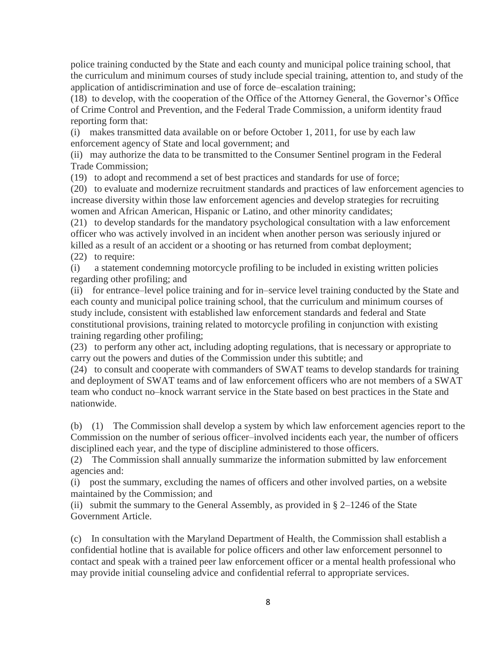police training conducted by the State and each county and municipal police training school, that the curriculum and minimum courses of study include special training, attention to, and study of the application of antidiscrimination and use of force de–escalation training;

(18) to develop, with the cooperation of the Office of the Attorney General, the Governor's Office of Crime Control and Prevention, and the Federal Trade Commission, a uniform identity fraud reporting form that:

(i) makes transmitted data available on or before October 1, 2011, for use by each law enforcement agency of State and local government; and

(ii) may authorize the data to be transmitted to the Consumer Sentinel program in the Federal Trade Commission;

(19) to adopt and recommend a set of best practices and standards for use of force;

(20) to evaluate and modernize recruitment standards and practices of law enforcement agencies to increase diversity within those law enforcement agencies and develop strategies for recruiting women and African American, Hispanic or Latino, and other minority candidates;

(21) to develop standards for the mandatory psychological consultation with a law enforcement officer who was actively involved in an incident when another person was seriously injured or killed as a result of an accident or a shooting or has returned from combat deployment; (22) to require:

(i) a statement condemning motorcycle profiling to be included in existing written policies regarding other profiling; and

(ii) for entrance–level police training and for in–service level training conducted by the State and each county and municipal police training school, that the curriculum and minimum courses of study include, consistent with established law enforcement standards and federal and State constitutional provisions, training related to motorcycle profiling in conjunction with existing training regarding other profiling;

(23) to perform any other act, including adopting regulations, that is necessary or appropriate to carry out the powers and duties of the Commission under this subtitle; and

(24) to consult and cooperate with commanders of SWAT teams to develop standards for training and deployment of SWAT teams and of law enforcement officers who are not members of a SWAT team who conduct no–knock warrant service in the State based on best practices in the State and nationwide.

(b) (1) The Commission shall develop a system by which law enforcement agencies report to the Commission on the number of serious officer–involved incidents each year, the number of officers disciplined each year, and the type of discipline administered to those officers.

(2) The Commission shall annually summarize the information submitted by law enforcement agencies and:

(i) post the summary, excluding the names of officers and other involved parties, on a website maintained by the Commission; and

(ii) submit the summary to the General Assembly, as provided in  $\S 2-1246$  of the State Government Article.

(c) In consultation with the Maryland Department of Health, the Commission shall establish a confidential hotline that is available for police officers and other law enforcement personnel to contact and speak with a trained peer law enforcement officer or a mental health professional who may provide initial counseling advice and confidential referral to appropriate services.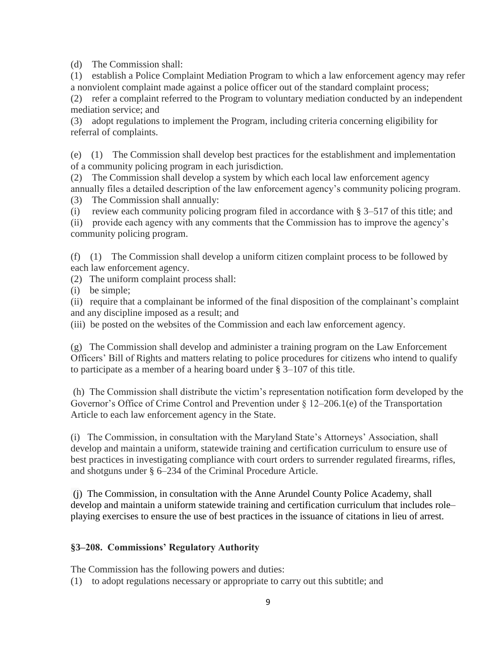(d) The Commission shall:

(1) establish a Police Complaint Mediation Program to which a law enforcement agency may refer a nonviolent complaint made against a police officer out of the standard complaint process;

(2) refer a complaint referred to the Program to voluntary mediation conducted by an independent mediation service; and

(3) adopt regulations to implement the Program, including criteria concerning eligibility for referral of complaints.

(e) (1) The Commission shall develop best practices for the establishment and implementation of a community policing program in each jurisdiction.

(2) The Commission shall develop a system by which each local law enforcement agency annually files a detailed description of the law enforcement agency's community policing program. (3) The Commission shall annually:

(i) review each community policing program filed in accordance with § 3–517 of this title; and

(ii) provide each agency with any comments that the Commission has to improve the agency's community policing program.

(f) (1) The Commission shall develop a uniform citizen complaint process to be followed by each law enforcement agency.

(2) The uniform complaint process shall:

(i) be simple;

(ii) require that a complainant be informed of the final disposition of the complainant's complaint and any discipline imposed as a result; and

(iii) be posted on the websites of the Commission and each law enforcement agency.

(g) The Commission shall develop and administer a training program on the Law Enforcement Officers' Bill of Rights and matters relating to police procedures for citizens who intend to qualify to participate as a member of a hearing board under § 3–107 of this title.

(h) The Commission shall distribute the victim's representation notification form developed by the Governor's Office of Crime Control and Prevention under § 12–206.1(e) of the Transportation Article to each law enforcement agency in the State.

(i) The Commission, in consultation with the Maryland State's Attorneys' Association, shall develop and maintain a uniform, statewide training and certification curriculum to ensure use of best practices in investigating compliance with court orders to surrender regulated firearms, rifles, and shotguns under § 6–234 of the Criminal Procedure Article.

(j) The Commission, in consultation with the Anne Arundel County Police Academy, shall develop and maintain a uniform statewide training and certification curriculum that includes role– playing exercises to ensure the use of best practices in the issuance of citations in lieu of arrest.

### **§3–208. Commissions' Regulatory Authority**

The Commission has the following powers and duties:

(1) to adopt regulations necessary or appropriate to carry out this subtitle; and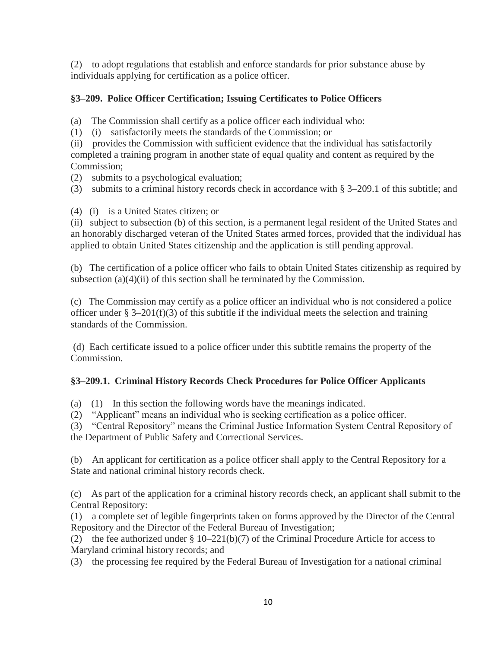(2) to adopt regulations that establish and enforce standards for prior substance abuse by individuals applying for certification as a police officer.

# **§3–209. Police Officer Certification; Issuing Certificates to Police Officers**

(a) The Commission shall certify as a police officer each individual who:

(1) (i) satisfactorily meets the standards of the Commission; or

(ii) provides the Commission with sufficient evidence that the individual has satisfactorily completed a training program in another state of equal quality and content as required by the Commission;

(2) submits to a psychological evaluation;

(3) submits to a criminal history records check in accordance with § 3–209.1 of this subtitle; and

(4) (i) is a United States citizen; or

(ii) subject to subsection (b) of this section, is a permanent legal resident of the United States and an honorably discharged veteran of the United States armed forces, provided that the individual has applied to obtain United States citizenship and the application is still pending approval.

(b) The certification of a police officer who fails to obtain United States citizenship as required by subsection  $(a)(4)(ii)$  of this section shall be terminated by the Commission.

(c) The Commission may certify as a police officer an individual who is not considered a police officer under  $\S 3-201(f)(3)$  of this subtitle if the individual meets the selection and training standards of the Commission.

(d) Each certificate issued to a police officer under this subtitle remains the property of the Commission.

# **§3–209.1. Criminal History Records Check Procedures for Police Officer Applicants**

(a) (1) In this section the following words have the meanings indicated.

(2) "Applicant" means an individual who is seeking certification as a police officer.

(3) "Central Repository" means the Criminal Justice Information System Central Repository of the Department of Public Safety and Correctional Services.

(b) An applicant for certification as a police officer shall apply to the Central Repository for a State and national criminal history records check.

(c) As part of the application for a criminal history records check, an applicant shall submit to the Central Repository:

(1) a complete set of legible fingerprints taken on forms approved by the Director of the Central Repository and the Director of the Federal Bureau of Investigation;

(2) the fee authorized under § 10–221(b)(7) of the Criminal Procedure Article for access to Maryland criminal history records; and

(3) the processing fee required by the Federal Bureau of Investigation for a national criminal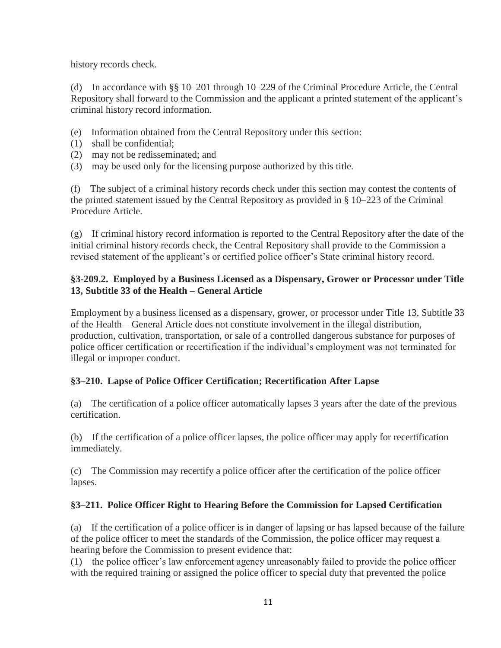history records check.

(d) In accordance with §§ 10–201 through 10–229 of the Criminal Procedure Article, the Central Repository shall forward to the Commission and the applicant a printed statement of the applicant's criminal history record information.

- (e) Information obtained from the Central Repository under this section:
- (1) shall be confidential;
- (2) may not be redisseminated; and
- (3) may be used only for the licensing purpose authorized by this title.

(f) The subject of a criminal history records check under this section may contest the contents of the printed statement issued by the Central Repository as provided in § 10–223 of the Criminal Procedure Article.

(g) If criminal history record information is reported to the Central Repository after the date of the initial criminal history records check, the Central Repository shall provide to the Commission a revised statement of the applicant's or certified police officer's State criminal history record.

# **§3-209.2. Employed by a Business Licensed as a Dispensary, Grower or Processor under Title 13, Subtitle 33 of the Health – General Article**

Employment by a business licensed as a dispensary, grower, or processor under Title 13, Subtitle 33 of the Health – General Article does not constitute involvement in the illegal distribution, production, cultivation, transportation, or sale of a controlled dangerous substance for purposes of police officer certification or recertification if the individual's employment was not terminated for illegal or improper conduct.

# **§3–210. Lapse of Police Officer Certification; Recertification After Lapse**

(a) The certification of a police officer automatically lapses 3 years after the date of the previous certification.

(b) If the certification of a police officer lapses, the police officer may apply for recertification immediately.

(c) The Commission may recertify a police officer after the certification of the police officer lapses.

# **§3–211. Police Officer Right to Hearing Before the Commission for Lapsed Certification**

(a) If the certification of a police officer is in danger of lapsing or has lapsed because of the failure of the police officer to meet the standards of the Commission, the police officer may request a hearing before the Commission to present evidence that:

(1) the police officer's law enforcement agency unreasonably failed to provide the police officer with the required training or assigned the police officer to special duty that prevented the police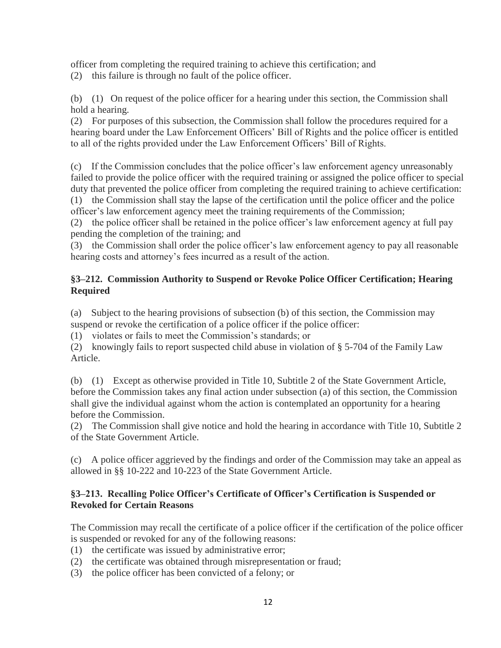officer from completing the required training to achieve this certification; and

(2) this failure is through no fault of the police officer.

(b) (1) On request of the police officer for a hearing under this section, the Commission shall hold a hearing.

(2) For purposes of this subsection, the Commission shall follow the procedures required for a hearing board under the Law Enforcement Officers' Bill of Rights and the police officer is entitled to all of the rights provided under the Law Enforcement Officers' Bill of Rights.

(c) If the Commission concludes that the police officer's law enforcement agency unreasonably failed to provide the police officer with the required training or assigned the police officer to special duty that prevented the police officer from completing the required training to achieve certification: (1) the Commission shall stay the lapse of the certification until the police officer and the police officer's law enforcement agency meet the training requirements of the Commission;

(2) the police officer shall be retained in the police officer's law enforcement agency at full pay pending the completion of the training; and

(3) the Commission shall order the police officer's law enforcement agency to pay all reasonable hearing costs and attorney's fees incurred as a result of the action.

# **§3–212. Commission Authority to Suspend or Revoke Police Officer Certification; Hearing Required**

(a) Subject to the hearing provisions of subsection (b) of this section, the Commission may suspend or revoke the certification of a police officer if the police officer:

(1) violates or fails to meet the Commission's standards; or

(2) knowingly fails to report suspected child abuse in violation of § 5-704 of the Family Law Article.

(b) (1) Except as otherwise provided in Title 10, Subtitle 2 of the State Government Article, before the Commission takes any final action under subsection (a) of this section, the Commission shall give the individual against whom the action is contemplated an opportunity for a hearing before the Commission.

(2) The Commission shall give notice and hold the hearing in accordance with Title 10, Subtitle 2 of the State Government Article.

(c) A police officer aggrieved by the findings and order of the Commission may take an appeal as allowed in §§ 10-222 and 10-223 of the State Government Article.

### **§3–213. Recalling Police Officer's Certificate of Officer's Certification is Suspended or Revoked for Certain Reasons**

The Commission may recall the certificate of a police officer if the certification of the police officer is suspended or revoked for any of the following reasons:

- (1) the certificate was issued by administrative error;
- (2) the certificate was obtained through misrepresentation or fraud;
- (3) the police officer has been convicted of a felony; or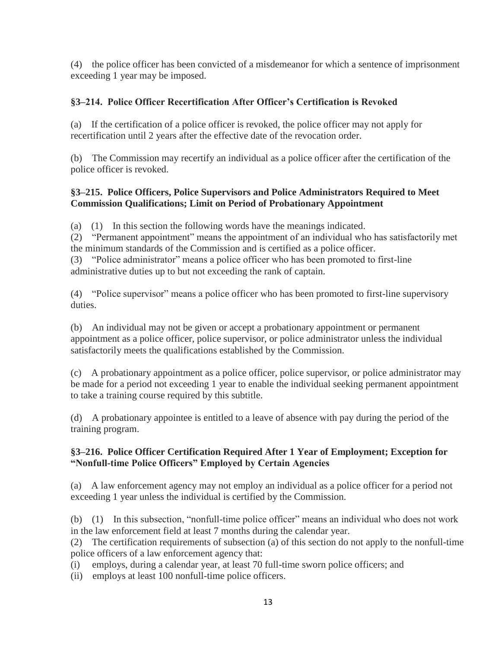(4) the police officer has been convicted of a misdemeanor for which a sentence of imprisonment exceeding 1 year may be imposed.

# **§3–214. Police Officer Recertification After Officer's Certification is Revoked**

(a) If the certification of a police officer is revoked, the police officer may not apply for recertification until 2 years after the effective date of the revocation order.

(b) The Commission may recertify an individual as a police officer after the certification of the police officer is revoked.

### **§3–215. Police Officers, Police Supervisors and Police Administrators Required to Meet Commission Qualifications; Limit on Period of Probationary Appointment**

(a) (1) In this section the following words have the meanings indicated.

(2) "Permanent appointment" means the appointment of an individual who has satisfactorily met the minimum standards of the Commission and is certified as a police officer.

(3) "Police administrator" means a police officer who has been promoted to first-line administrative duties up to but not exceeding the rank of captain.

(4) "Police supervisor" means a police officer who has been promoted to first-line supervisory duties.

(b) An individual may not be given or accept a probationary appointment or permanent appointment as a police officer, police supervisor, or police administrator unless the individual satisfactorily meets the qualifications established by the Commission.

(c) A probationary appointment as a police officer, police supervisor, or police administrator may be made for a period not exceeding 1 year to enable the individual seeking permanent appointment to take a training course required by this subtitle.

(d) A probationary appointee is entitled to a leave of absence with pay during the period of the training program.

### **§3–216. Police Officer Certification Required After 1 Year of Employment; Exception for "Nonfull-time Police Officers" Employed by Certain Agencies**

(a) A law enforcement agency may not employ an individual as a police officer for a period not exceeding 1 year unless the individual is certified by the Commission.

(b) (1) In this subsection, "nonfull-time police officer" means an individual who does not work in the law enforcement field at least 7 months during the calendar year.

(2) The certification requirements of subsection (a) of this section do not apply to the nonfull-time police officers of a law enforcement agency that:

(i) employs, during a calendar year, at least 70 full-time sworn police officers; and

(ii) employs at least 100 nonfull-time police officers.